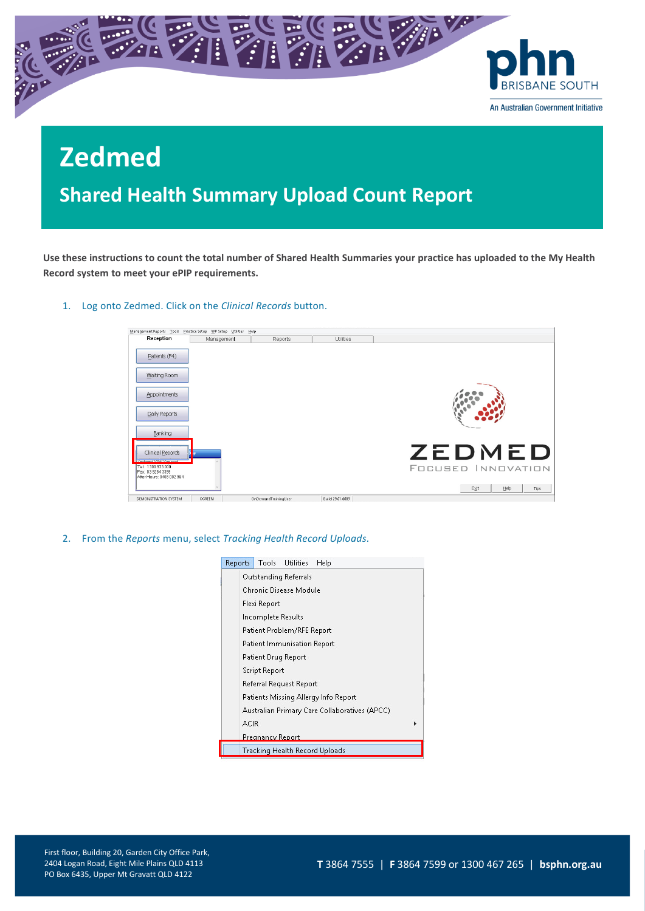

**Shared Health Summary Upload Count Report**

**Use these instructions to count the total number of Shared Health Summaries your practice has uploaded to the My Health Record system to meet your ePIP requirements.**

1. Log onto Zedmed. Click on the *Clinical Records* button.

| Management Reports Tools Practice Setup WP Setup Utilities Help |            |                      |                  |                                            |
|-----------------------------------------------------------------|------------|----------------------|------------------|--------------------------------------------|
| Reception                                                       | Management | Reports              | Utilities        |                                            |
| Patients (F4)                                                   |            |                      |                  |                                            |
| Waiting Room                                                    |            |                      |                  |                                            |
| <b>Appointments</b>                                             |            |                      |                  |                                            |
| Daily Reports                                                   |            |                      |                  |                                            |
| Banking                                                         |            |                      |                  |                                            |
| Clinical Records<br>Zedmed SAV Support<br>Tel: 1300 933 000     | lib Iv     |                      |                  | <b>ZEDMED</b><br><b>FOCUSED INNOVATION</b> |
| Fax: 03 9284 3399<br>After Hours: 0408 002 964                  |            |                      |                  | Help<br>Exit<br><b>Tips</b>                |
| DEMONSTRATION SYSTEM                                            | CGREEN     | OnDemandTrainingUser | Build 29.01.6089 |                                            |

2. From the *Reports* menu, select *Tracking Health Record Uploads.*